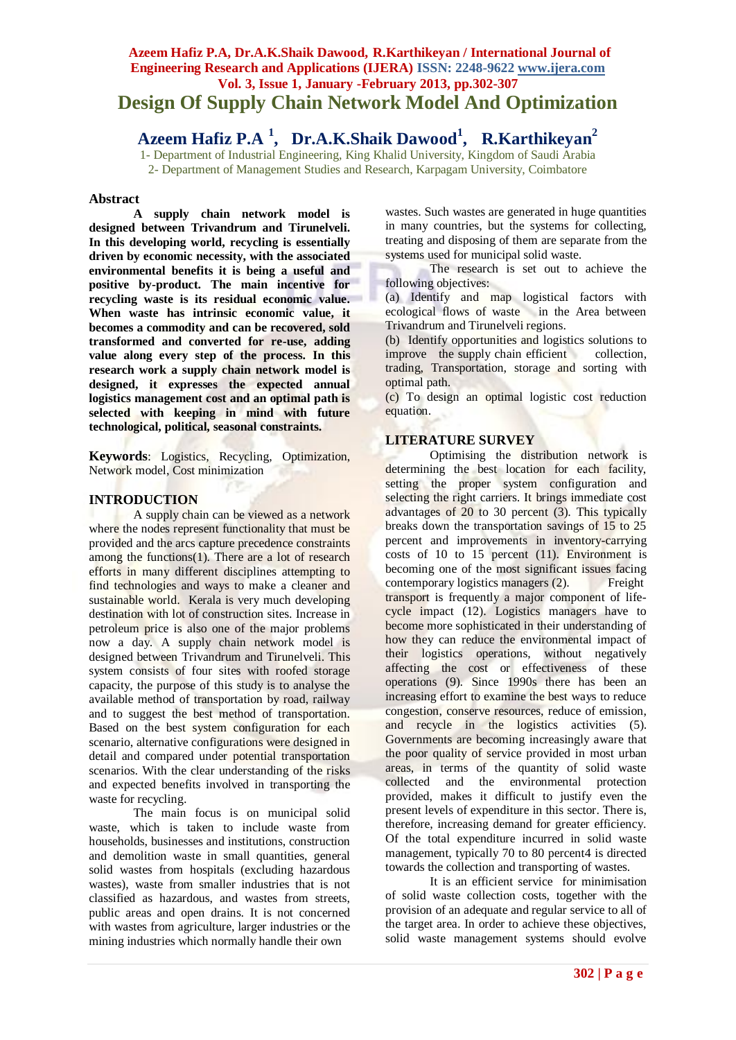# **Azeem Hafiz P.A, Dr.A.K.Shaik Dawood, R.Karthikeyan / International Journal of Engineering Research and Applications (IJERA) ISSN: 2248-9622 www.ijera.com Vol. 3, Issue 1, January -February 2013, pp.302-307 Design Of Supply Chain Network Model And Optimization**

# **Azeem Hafiz P.A <sup>1</sup> , Dr.A.K.Shaik Dawood<sup>1</sup> , R.Karthikeyan<sup>2</sup>**

1- Department of Industrial Engineering, King Khalid University, Kingdom of Saudi Arabia 2- Department of Management Studies and Research, Karpagam University, Coimbatore

#### **Abstract**

**A supply chain network model is designed between Trivandrum and Tirunelveli. In this developing world, recycling is essentially driven by economic necessity, with the associated environmental benefits it is being a useful and positive by-product. The main incentive for recycling waste is its residual economic value. When waste has intrinsic economic value, it becomes a commodity and can be recovered, sold transformed and converted for re-use, adding value along every step of the process. In this research work a supply chain network model is designed, it expresses the expected annual logistics management cost and an optimal path is selected with keeping in mind with future technological, political, seasonal constraints.**

**Keywords**: Logistics, Recycling, Optimization, Network model, Cost minimization

## **INTRODUCTION**

A supply chain can be viewed as a network where the nodes represent functionality that must be provided and the arcs capture precedence constraints among the functions(1). There are a lot of research efforts in many different disciplines attempting to find technologies and ways to make a cleaner and sustainable world. Kerala is very much developing destination with lot of construction sites. Increase in petroleum price is also one of the major problems now a day. A supply chain network model is designed between Trivandrum and Tirunelveli. This system consists of four sites with roofed storage capacity, the purpose of this study is to analyse the available method of transportation by road, railway and to suggest the best method of transportation. Based on the best system configuration for each scenario, alternative configurations were designed in detail and compared under potential transportation scenarios. With the clear understanding of the risks and expected benefits involved in transporting the waste for recycling.

The main focus is on municipal solid waste, which is taken to include waste from households, businesses and institutions, construction and demolition waste in small quantities, general solid wastes from hospitals (excluding hazardous wastes), waste from smaller industries that is not classified as hazardous, and wastes from streets, public areas and open drains. It is not concerned with wastes from agriculture, larger industries or the mining industries which normally handle their own

wastes. Such wastes are generated in huge quantities in many countries, but the systems for collecting, treating and disposing of them are separate from the systems used for municipal solid waste.

The research is set out to achieve the following objectives:

(a) Identify and map logistical factors with ecological flows of waste in the Area between Trivandrum and Tirunelveli regions.

(b) Identify opportunities and logistics solutions to improve the supply chain efficient collection, trading, Transportation, storage and sorting with optimal path.

(c) To design an optimal logistic cost reduction equation.

## **LITERATURE SURVEY**

Optimising the distribution network is determining the best location for each facility, setting the proper system configuration and selecting the right carriers. It brings immediate cost advantages of 20 to 30 percent (3). This typically breaks down the transportation savings of 15 to 25 percent and improvements in inventory-carrying costs of 10 to 15 percent (11). Environment is becoming one of the most significant issues facing contemporary logistics managers (2). Freight transport is frequently a major component of lifecycle impact (12). Logistics managers have to become more sophisticated in their understanding of how they can reduce the environmental impact of their logistics operations, without negatively affecting the cost or effectiveness of these operations (9). Since 1990s there has been an increasing effort to examine the best ways to reduce congestion, conserve resources, reduce of emission, and recycle in the logistics activities (5). Governments are becoming increasingly aware that the poor quality of service provided in most urban areas, in terms of the quantity of solid waste collected and the environmental protection provided, makes it difficult to justify even the present levels of expenditure in this sector. There is, therefore, increasing demand for greater efficiency. Of the total expenditure incurred in solid waste management, typically 70 to 80 percent4 is directed towards the collection and transporting of wastes.

It is an efficient service for minimisation of solid waste collection costs, together with the provision of an adequate and regular service to all of the target area. In order to achieve these objectives, solid waste management systems should evolve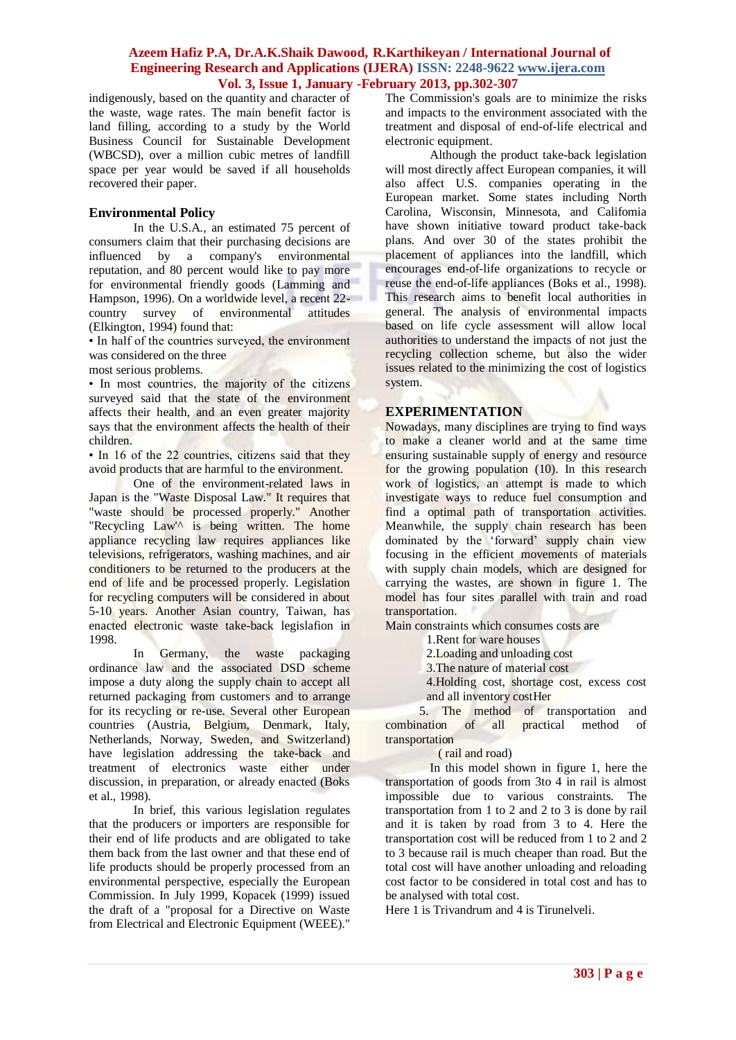indigenously, based on the quantity and character of the waste, wage rates. The main benefit factor is land filling, according to a study by the World Business Council for Sustainable Development (WBCSD), over a million cubic metres of landfill space per year would be saved if all households recovered their paper.

#### **Environmental Policy**

In the U.S.A., an estimated 75 percent of consumers claim that their purchasing decisions are influenced by a company's environmental reputation, and 80 percent would like to pay more for environmental friendly goods (Lamming and Hampson, 1996). On a worldwide level, a recent 22 country survey of environmental attitudes (Elkington, 1994) found that:

• In half of the countries surveyed, the environment was considered on the three

most serious problems.

• In most countries, the majority of the citizens surveyed said that the state of the environment affects their health, and an even greater majority says that the environment affects the health of their children.

• In 16 of the 22 countries, citizens said that they avoid products that are harmful to the environment.

One of the environment-related laws in Japan is the "Waste Disposal Law." It requires that "waste should be processed properly." Another "Recycling Law<sup>'</sup> is being written. The home appliance recycling law requires appliances like televisions, refrigerators, washing machines, and air conditioners to be returned to the producers at the end of life and be processed properly. Legislation for recycling computers will be considered in about 5-10 years. Another Asian country, Taiwan, has enacted electronic waste take-back legislafion in 1998.

In Germany, the waste packaging ordinance law and the associated DSD scheme impose a duty along the supply chain to accept all returned packaging from customers and to arrange for its recycling or re-use. Several other European countries (Austria, Belgium, Denmark, Italy, Netherlands, Norway, Sweden, and Switzerland) have legislation addressing the take-back and treatment of electronics waste either under discussion, in preparation, or already enacted (Boks et al., 1998).

In brief, this various legislation regulates that the producers or importers are responsible for their end of life products and are obligated to take them back from the last owner and that these end of life products should be properly processed from an environmental perspective, especially the European Commission. In July 1999, Kopacek (1999) issued the draft of a "proposal for a Directive on Waste from Electrical and Electronic Equipment (WEEE)."

The Commission's goals are to minimize the risks and impacts to the environment associated with the treatment and disposal of end-of-life electrical and electronic equipment.

Although the product take-back legislation will most directly affect European companies, it will also affect U.S. companies operating in the European market. Some states including North Carolina, Wisconsin, Minnesota, and Califomia have shown initiative toward product take-back plans. And over 30 of the states prohibit the placement of appliances into the landfill, which encourages end-of-life organizations to recycle or reuse the end-of-life appliances (Boks et al., 1998). This research aims to benefit local authorities in general. The analysis of environmental impacts based on life cycle assessment will allow local authorities to understand the impacts of not just the recycling collection scheme, but also the wider issues related to the minimizing the cost of logistics system.

## **EXPERIMENTATION**

Nowadays, many disciplines are trying to find ways to make a cleaner world and at the same time ensuring sustainable supply of energy and resource for the growing population (10). In this research work of logistics, an attempt is made to which investigate ways to reduce fuel consumption and find a optimal path of transportation activities. Meanwhile, the supply chain research has been dominated by the 'forward' supply chain view focusing in the efficient movements of materials with supply chain models, which are designed for carrying the wastes, are shown in figure 1. The model has four sites parallel with train and road transportation.

Main constraints which consumes costs are

1.Rent for ware houses

2.Loading and unloading cost

3.The nature of material cost

4.Holding cost, shortage cost, excess cost and all inventory costHer

 5. The method of transportation and combination of all practical method of transportation

( rail and road)

In this model shown in figure 1, here the transportation of goods from 3to 4 in rail is almost impossible due to various constraints. The transportation from 1 to 2 and 2 to 3 is done by rail and it is taken by road from 3 to 4. Here the transportation cost will be reduced from 1 to 2 and 2 to 3 because rail is much cheaper than road. But the total cost will have another unloading and reloading cost factor to be considered in total cost and has to be analysed with total cost.

Here 1 is Trivandrum and 4 is Tirunelveli.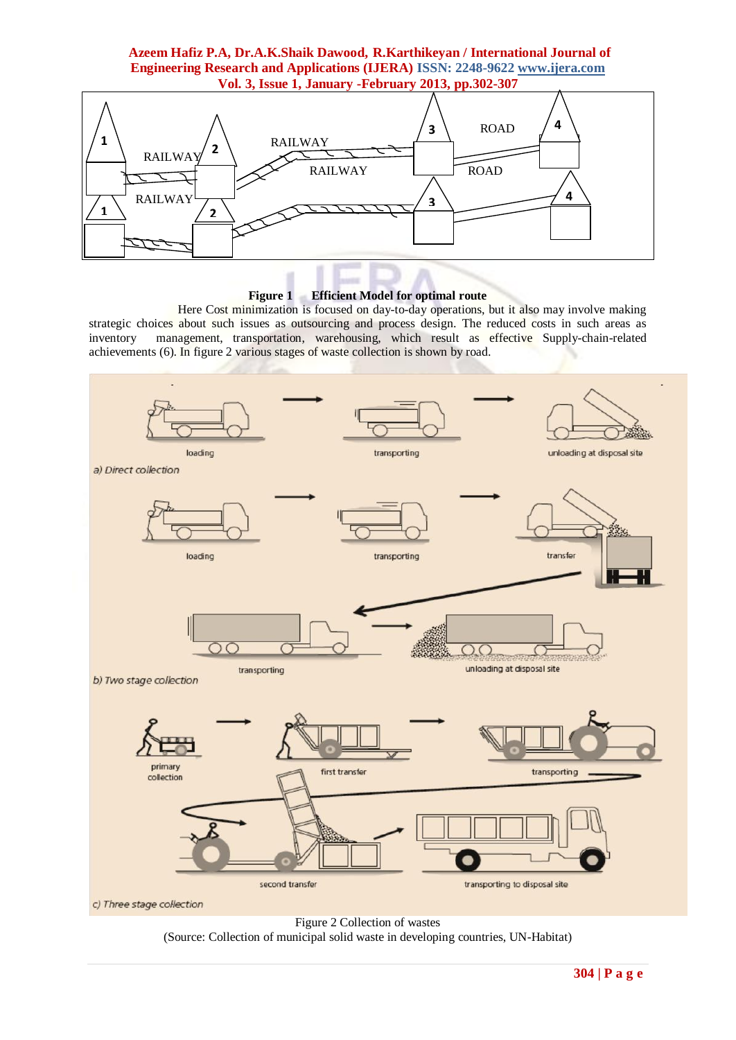

## **Figure 1 Efficient Model for optimal route**

Here Cost minimization is focused on day-to-day operations, but it also may involve making strategic choices about such issues as outsourcing and process design. The reduced costs in such areas as inventory management, transportation, warehousing, which result as effective Supply-chain-related achievements (6). In figure 2 various stages of waste collection is shown by road.



Figure 2 Collection of wastes

(Source: Collection of municipal solid waste in developing countries, UN-Habitat)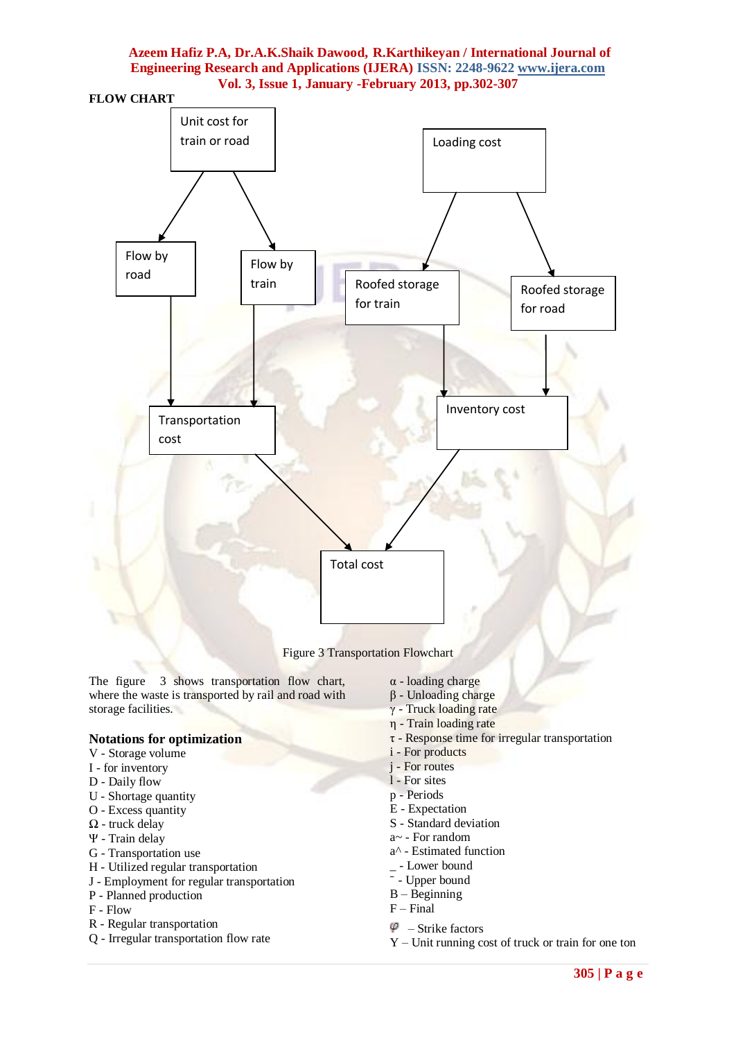



Figure 3 Transportation Flowchart

The figure 3 shows transportation flow chart, where the waste is transported by rail and road with storage facilities.

# **Notations for optimization**

- V Storage volume
- I for inventory
- D Daily flow
- U Shortage quantity
- O Excess quantity
- Ω truck delay
- Ψ Train delay
- G Transportation use
- H Utilized regular transportation
- J Employment for regular transportation
- P Planned production
- F Flow
- R Regular transportation
- Q Irregular transportation flow rate
- α loading charge
- β Unloading charge
- γ Truck loading rate
- η Train loading rate
- $\tau$  Response time for irregular transportation
- i For products
- j For routes
- l For sites
- p Periods
- E Expectation
- S Standard deviation
- a~ For random
- a^ Estimated function
- \_ Lower bound
- Upper bound
- B Beginning
- F Final
- $\varphi$  Strike factors
- Y Unit running cost of truck or train for one ton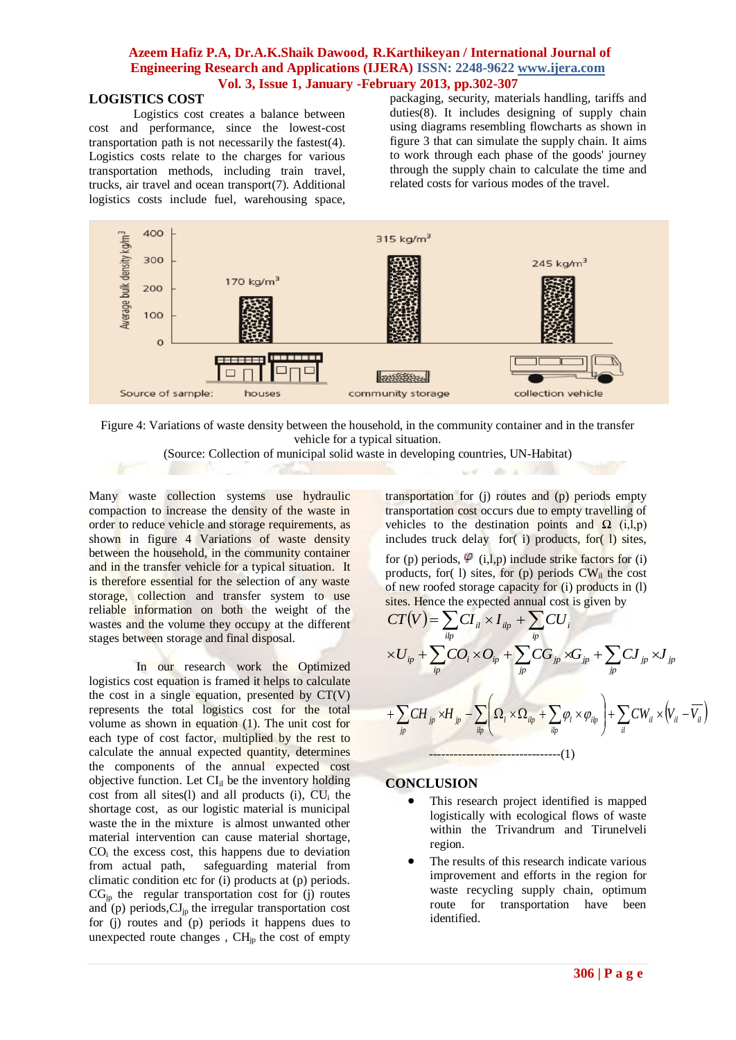# **LOGISTICS COST**

Logistics cost creates a balance between cost and performance, since the lowest-cost transportation path is not necessarily the fastest(4). Logistics costs relate to the charges for various transportation methods, including train travel, trucks, air travel and ocean transport(7). Additional logistics costs include fuel, warehousing space, packaging, security, materials handling, tariffs and duties(8). It includes designing of supply chain using diagrams resembling flowcharts as shown in figure 3 that can simulate the supply chain. It aims to work through each phase of the goods' journey through the supply chain to calculate the time and related costs for various modes of the travel.



Figure 4: Variations of waste density between the household, in the community container and in the transfer vehicle for a typical situation.

(Source: Collection of municipal solid waste in developing countries, UN-Habitat)

Many waste collection systems use hydraulic compaction to increase the density of the waste in order to reduce vehicle and storage requirements, as shown in figure 4 Variations of waste density between the household, in the community container and in the transfer vehicle for a typical situation. It is therefore essential for the selection of any waste storage, collection and transfer system to use reliable information on both the weight of the wastes and the volume they occupy at the different stages between storage and final disposal.

In our research work the Optimized logistics cost equation is framed it helps to calculate the cost in a single equation, presented by CT(V) represents the total logistics cost for the total volume as shown in equation (1). The unit cost for each type of cost factor, multiplied by the rest to calculate the annual expected quantity, determines the components of the annual expected cost objective function. Let  $CI_{il}$  be the inventory holding cost from all sites(l) and all products  $(i)$ , CU<sub>i</sub> the shortage cost, as our logistic material is municipal waste the in the mixture is almost unwanted other material intervention can cause material shortage, CO<sub>i</sub> the excess cost, this happens due to deviation from actual path, safeguarding material from climatic condition etc for (i) products at (p) periods.  $CG_{ip}$  the regular transportation cost for (j) routes and (p) periods,  $\mathrm{CI}_{jp}$  the irregular transportation cost for (j) routes and (p) periods it happens dues to unexpected route changes,  $CH_{jp}$  the cost of empty

transportation for (j) routes and (p) periods empty transportation cost occurs due to empty travelling of vehicles to the destination points and  $\Omega$  (i,l,p) includes truck delay for( i) products, for( l) sites, for (p) periods,  $\varphi$  (i,l,p) include strike factors for (i) products, for( l) sites, for (p) periods  $CW_{il}$  the cost of new roofed storage capacity for (i) products in (l) sites. Hence the expected annual cost is given by

 $\sim$  1

$$
CT(V) = \sum_{ip} CI_{il} \times I_{ip} + \sum_{ip} CU_{i}
$$
  
\n
$$
\times U_{ip} + \sum_{ip} CO_{i} \times O_{ip} + \sum_{jp} CG_{jp} \times G_{jp} + \sum_{jp} CJ_{jp} \times J_{jp}
$$
  
\n
$$
+ \sum_{jp} CH_{jp} \times H_{jp} - \sum_{ilp} \left( \Omega_{l} \times \Omega_{ilp} + \sum_{ilp} \varphi_{l} \times \varphi_{ilp} \right) + \sum_{il} CW_{il} \times (V_{il} - \overline{V_{il}})
$$

#### **CONCLUSION**

- This research project identified is mapped logistically with ecological flows of waste within the Trivandrum and Tirunelveli region.
- The results of this research indicate various improvement and efforts in the region for waste recycling supply chain, optimum route for transportation have been identified.